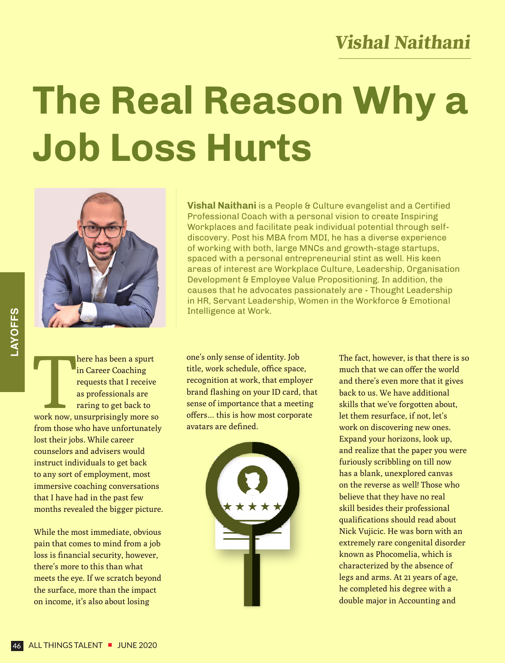## **Vishal Naithani**

## **The Real Reason Why a Job Loss Hurts**



**Example 18 Seven a spurt**<br>in Career Coaching<br>requests that I receive<br>as professionals are<br>raring to get back to<br>work now, unsurprisingly more so here has been a spurt in Career Coaching requests that I receive as professionals are raring to get back to from those who have unfortunately lost their jobs. While career counselors and advisers would instruct individuals to get back to any sort of employment, most immersive coaching conversations that I have had in the past few months revealed the bigger picture.

While the most immediate, obvious pain that comes to mind from a job loss is financial security, however, there's more to this than what meets the eye. If we scratch beyond the surface, more than the impact on income, it's also about losing

**Vishal Naithani** is a People & Culture evangelist and a Certified Professional Coach with a personal vision to create Inspiring Workplaces and facilitate peak individual potential through selfdiscovery. Post his MBA from MDI, he has a diverse experience of working with both, large MNCs and growth-stage startups, spaced with a personal entrepreneurial stint as well. His keen areas of interest are Workplace Culture, Leadership, Organisation Development & Employee Value Propositioning. In addition, the causes that he advocates passionately are - Thought Leadership in HR, Servant Leadership, Women in the Workforce & Emotional Intelligence at Work.

one's only sense of identity. Job title, work schedule, office space, recognition at work, that employer brand flashing on your ID card, that sense of importance that a meeting offers… this is how most corporate avatars are defined.



The fact, however, is that there is so much that we can offer the world and there's even more that it gives back to us. We have additional skills that we've forgotten about, let them resurface, if not, let's work on discovering new ones. Expand your horizons, look up, and realize that the paper you were furiously scribbling on till now has a blank, unexplored canvas on the reverse as well! Those who believe that they have no real skill besides their professional qualifications should read about Nick Vujicic. He was born with an extremely rare congenital disorder known as Phocomelia, which is characterized by the absence of legs and arms. At 21 years of age, he completed his degree with a double major in Accounting and